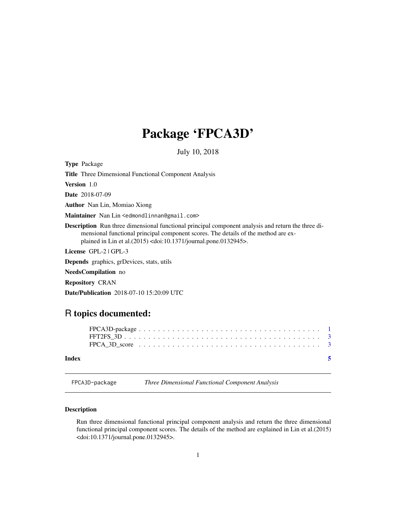## <span id="page-0-0"></span>Package 'FPCA3D'

July 10, 2018

| <b>Type Package</b>                                                                                                                                                                                                                                                                 |
|-------------------------------------------------------------------------------------------------------------------------------------------------------------------------------------------------------------------------------------------------------------------------------------|
| <b>Title</b> Three Dimensional Functional Component Analysis                                                                                                                                                                                                                        |
| <b>Version</b> 1.0                                                                                                                                                                                                                                                                  |
| <b>Date</b> 2018-07-09                                                                                                                                                                                                                                                              |
| <b>Author</b> Nan Lin, Momiao Xiong                                                                                                                                                                                                                                                 |
| Maintainer Nan Lin <edmondlinnan@gmail.com></edmondlinnan@gmail.com>                                                                                                                                                                                                                |
| <b>Description</b> Run three dimensional functional principal component analysis and return the three di-<br>mensional functional principal component scores. The details of the method are ex-<br>plained in Lin et al.(2015) <doi:10.1371 journal.pone.0132945="">.</doi:10.1371> |
| License GPL-2   GPL-3                                                                                                                                                                                                                                                               |
| <b>Depends</b> graphics, grDevices, stats, utils                                                                                                                                                                                                                                    |
| NeedsCompilation no                                                                                                                                                                                                                                                                 |
| <b>Repository CRAN</b>                                                                                                                                                                                                                                                              |
| <b>Date/Publication</b> 2018-07-10 15:20:09 UTC                                                                                                                                                                                                                                     |

### R topics documented:

| Index | - 5                                                                                                 |  |
|-------|-----------------------------------------------------------------------------------------------------|--|
|       | FPCA 3D score $\ldots \ldots \ldots \ldots \ldots \ldots \ldots \ldots \ldots \ldots \ldots \ldots$ |  |
|       |                                                                                                     |  |

FPCA3D-package *Three Dimensional Functional Component Analysis*

#### Description

Run three dimensional functional principal component analysis and return the three dimensional functional principal component scores. The details of the method are explained in Lin et al.(2015) <doi:10.1371/journal.pone.0132945>.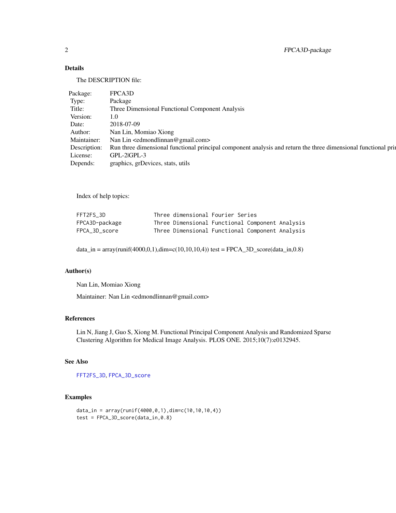#### <span id="page-1-0"></span>Details

The DESCRIPTION file:

| Package:     | FPCA3D                                                                                                         |
|--------------|----------------------------------------------------------------------------------------------------------------|
| Type:        | Package                                                                                                        |
| Title:       | Three Dimensional Functional Component Analysis                                                                |
| Version:     |                                                                                                                |
| Date:        | 2018-07-09                                                                                                     |
| Author:      | Nan Lin, Momiao Xiong                                                                                          |
| Maintainer:  | Nan Lin <edmondlinnan@gmail.com></edmondlinnan@gmail.com>                                                      |
| Description: | Run three dimensional functional principal component analysis and return the three dimensional functional prin |
| License:     | GPL-2 GPL-3                                                                                                    |
| Depends:     | graphics, grDevices, stats, utils                                                                              |

Index of help topics:

| FFT2FS 3D      | Three dimensional Fourier Series |                                                 |
|----------------|----------------------------------|-------------------------------------------------|
| FPCA3D-package |                                  | Three Dimensional Functional Component Analysis |
| FPCA 3D score  |                                  | Three Dimensional Functional Component Analysis |

data\_in = array(runif(4000,0,1),dim=c(10,10,10,4)) test = FPCA\_3D\_score(data\_in,0.8)

#### Author(s)

Nan Lin, Momiao Xiong

Maintainer: Nan Lin <edmondlinnan@gmail.com>

#### References

Lin N, Jiang J, Guo S, Xiong M. Functional Principal Component Analysis and Randomized Sparse Clustering Algorithm for Medical Image Analysis. PLOS ONE. 2015;10(7):e0132945.

#### See Also

[FFT2FS\\_3D](#page-2-1), [FPCA\\_3D\\_score](#page-2-2)

#### Examples

```
data_in = array(runif(4000, 0, 1), dim=c(10, 10, 10, 4))test = FPCA_3D_score(data_in, 0.8)
```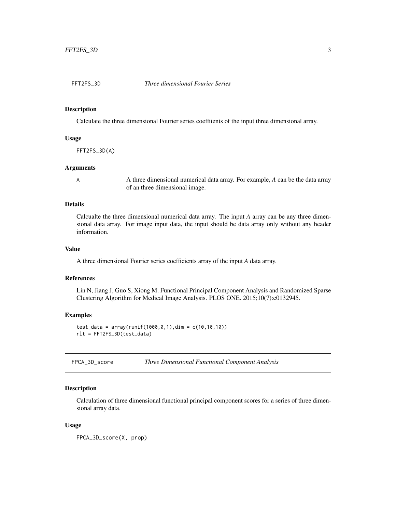<span id="page-2-1"></span><span id="page-2-0"></span>

#### Description

Calculate the three dimensional Fourier series coeffiients of the input three dimensional array.

#### Usage

FFT2FS\_3D(A)

#### Arguments

A A three dimensional numerical data array. For example, *A* can be the data array of an three dimensional image.

#### Details

Calcualte the three dimensional numerical data array. The input *A* array can be any three dimensional data array. For image input data, the input should be data array only without any header information.

#### Value

A three dimensional Fourier series coefficients array of the input *A* data array.

#### References

Lin N, Jiang J, Guo S, Xiong M. Functional Principal Component Analysis and Randomized Sparse Clustering Algorithm for Medical Image Analysis. PLOS ONE. 2015;10(7):e0132945.

#### Examples

```
test_data = array(runif(1000,0,1),dim = c(10,10,10))
rlt = FFT2FS_3D(test_data)
```
<span id="page-2-2"></span>

| FPCA_3D_score | Three Dimensional Functional Component Analysis |  |
|---------------|-------------------------------------------------|--|
|---------------|-------------------------------------------------|--|

#### Description

Calculation of three dimensional functional principal component scores for a series of three dimensional array data.

#### Usage

FPCA\_3D\_score(X, prop)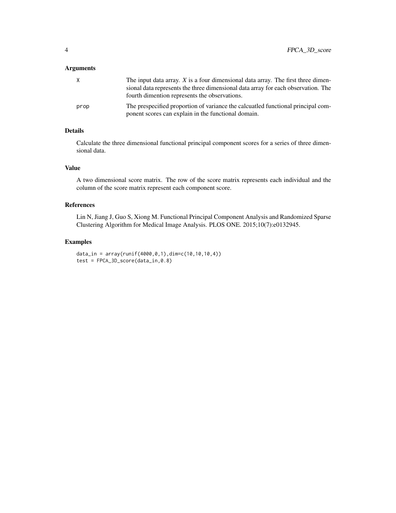#### Arguments

| X    | The input data array. $X$ is a four dimensional data array. The first three dimen-                                                      |
|------|-----------------------------------------------------------------------------------------------------------------------------------------|
|      | sional data represents the three dimensional data array for each observation. The<br>fourth dimention represents the observations.      |
| prop | The prespecified proportion of variance the calcuatied functional principal com-<br>ponent scores can explain in the functional domain. |

#### Details

Calculate the three dimensional functional principal component scores for a series of three dimensional data.

#### Value

A two dimensional score matrix. The row of the score matrix represents each individual and the column of the score matrix represent each component score.

#### References

Lin N, Jiang J, Guo S, Xiong M. Functional Principal Component Analysis and Randomized Sparse Clustering Algorithm for Medical Image Analysis. PLOS ONE. 2015;10(7):e0132945.

#### Examples

```
data_in = array(runif(4000, 0, 1), dim=c(10, 10, 10, 4))test = FPCA_3D_score(data_in,0.8)
```